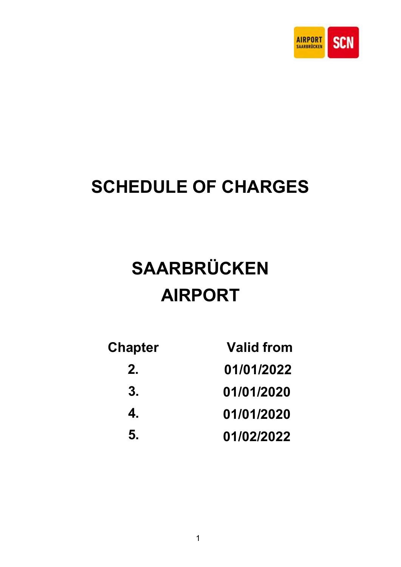

# SCHEDULE OF CHARGES

# SAARBRÜCKEN AIRPORT

| <b>Chapter</b> | <b>Valid from</b> |
|----------------|-------------------|
| 2.             | 01/01/2022        |
| 3.             | 01/01/2020        |
| 4.             | 01/01/2020        |
| 5.             | 01/02/2022        |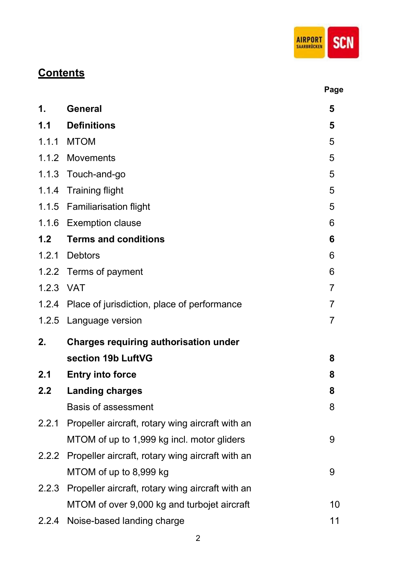

# **Contents**

|           |                                                        | Page           |
|-----------|--------------------------------------------------------|----------------|
| 1.        | <b>General</b>                                         | 5              |
| 1.1       | <b>Definitions</b>                                     | 5              |
|           | 1.1.1 MTOM                                             | 5              |
|           | 1.1.2 Movements                                        | 5              |
| 1.1.3     | Touch-and-go                                           | 5              |
|           | 1.1.4 Training flight                                  | 5              |
|           | 1.1.5 Familiarisation flight                           | 5              |
|           | 1.1.6 Exemption clause                                 | 6              |
| 1.2       | <b>Terms and conditions</b>                            | 6              |
|           | 1.2.1 Debtors                                          | 6              |
| 1.2.2     | Terms of payment                                       | 6              |
| 1.2.3 VAT |                                                        | 7              |
| 1.2.4     | Place of jurisdiction, place of performance            | $\overline{7}$ |
| 1.2.5     | Language version                                       | $\overline{7}$ |
| 2.        | <b>Charges requiring authorisation under</b>           |                |
|           | section 19b LuftVG                                     | 8              |
| 2.1       | <b>Entry into force</b>                                | 8              |
| 2.2       | <b>Landing charges</b>                                 | 8              |
|           | <b>Basis of assessment</b>                             | 8              |
|           | 2.2.1 Propeller aircraft, rotary wing aircraft with an |                |
|           | MTOM of up to 1,999 kg incl. motor gliders             | 9              |
|           | 2.2.2 Propeller aircraft, rotary wing aircraft with an |                |
|           | MTOM of up to 8,999 kg                                 | 9              |
| 2.2.3     | Propeller aircraft, rotary wing aircraft with an       |                |
|           | MTOM of over 9,000 kg and turbojet aircraft            | 10             |
|           | 2.2.4 Noise-based landing charge                       | 11             |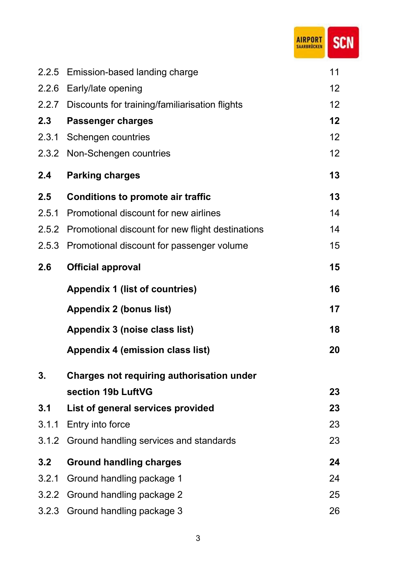|       |                                                  | <b>SCN</b> |
|-------|--------------------------------------------------|------------|
| 2.2.5 | Emission-based landing charge                    | 11         |
| 2.2.6 | Early/late opening                               | 12         |
| 2.2.7 | Discounts for training/familiarisation flights   | 12         |
| 2.3   | <b>Passenger charges</b>                         | 12         |
| 2.3.1 | Schengen countries                               | 12         |
| 2.3.2 | Non-Schengen countries                           | 12         |
| 2.4   | <b>Parking charges</b>                           | 13         |
| 2.5   | <b>Conditions to promote air traffic</b>         | 13         |
| 2.5.1 | Promotional discount for new airlines            | 14         |
| 2.5.2 | Promotional discount for new flight destinations | 14         |
| 2.5.3 | Promotional discount for passenger volume        | 15         |
| 2.6   | <b>Official approval</b>                         | 15         |
|       | <b>Appendix 1 (list of countries)</b>            | 16         |
|       | <b>Appendix 2 (bonus list)</b>                   | 17         |
|       | Appendix 3 (noise class list)                    | 18         |
|       | Appendix 4 (emission class list)                 | 20         |
| 3.    | Charges not requiring authorisation under        |            |
|       | section 19b LuftVG                               | 23         |
| 3.1   | List of general services provided                | 23         |
|       | 3.1.1 Entry into force                           | 23         |
|       | 3.1.2 Ground handling services and standards     | 23         |
| 3.2   | <b>Ground handling charges</b>                   | 24         |
| 201   | Cround hondling poolsogo 1                       | ົາ         |

**Control** 

3.2.1 Ground handling package 1 24 3.2.2 Ground handling package 2 25 3.2.3 Ground handling package 3 26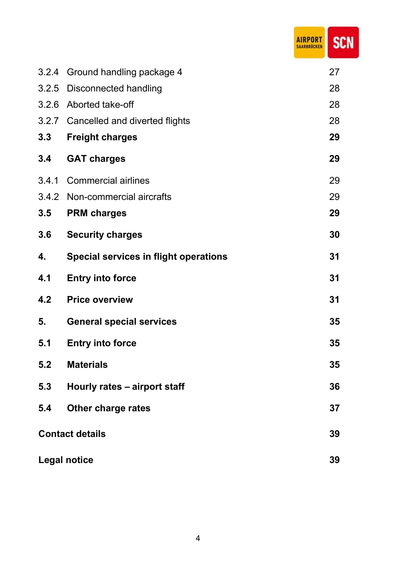|       |                                              | <b>AIRPORT</b><br><b>SCN</b><br>RBRÜCKEN |
|-------|----------------------------------------------|------------------------------------------|
| 3.2.4 | Ground handling package 4                    | 27                                       |
| 3.2.5 | <b>Disconnected handling</b>                 | 28                                       |
| 3.2.6 | Aborted take-off                             | 28                                       |
| 3.2.7 | Cancelled and diverted flights               | 28                                       |
| 3.3   | <b>Freight charges</b>                       | 29                                       |
| 3.4   | <b>GAT charges</b>                           | 29                                       |
| 3.4.1 | <b>Commercial airlines</b>                   | 29                                       |
| 3.4.2 | Non-commercial aircrafts                     | 29                                       |
| 3.5   | <b>PRM charges</b>                           | 29                                       |
| 3.6   | <b>Security charges</b>                      | 30                                       |
| 4.    | <b>Special services in flight operations</b> | 31                                       |
| 4.1   | <b>Entry into force</b>                      | 31                                       |
| 4.2   | <b>Price overview</b>                        | 31                                       |
| 5.    | <b>General special services</b>              | 35                                       |
| 5.1   | <b>Entry into force</b>                      | 35                                       |
| 5.2   | <b>Materials</b>                             | 35                                       |
| 5.3   | Hourly rates - airport staff                 | 36                                       |
| 5.4   | <b>Other charge rates</b>                    | 37                                       |
|       | <b>Contact details</b>                       | 39                                       |
|       | <b>Legal notice</b>                          | 39                                       |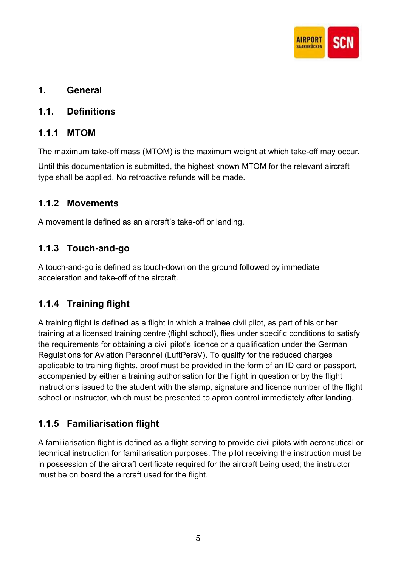

### 1. General

### 1.1. Definitions

### 1.1.1 MTOM

The maximum take-off mass (MTOM) is the maximum weight at which take-off may occur.

Until this documentation is submitted, the highest known MTOM for the relevant aircraft type shall be applied. No retroactive refunds will be made.

### 1.1.2 Movements

A movement is defined as an aircraft's take-off or landing.

# 1.1.3 Touch-and-go

A touch-and-go is defined as touch-down on the ground followed by immediate acceleration and take-off of the aircraft.

# 1.1.4 Training flight

A training flight is defined as a flight in which a trainee civil pilot, as part of his or her training at a licensed training centre (flight school), flies under specific conditions to satisfy the requirements for obtaining a civil pilot's licence or a qualification under the German Regulations for Aviation Personnel (LuftPersV). To qualify for the reduced charges applicable to training flights, proof must be provided in the form of an ID card or passport, accompanied by either a training authorisation for the flight in question or by the flight instructions issued to the student with the stamp, signature and licence number of the flight school or instructor, which must be presented to apron control immediately after landing.

### 1.1.5 Familiarisation flight

A familiarisation flight is defined as a flight serving to provide civil pilots with aeronautical or technical instruction for familiarisation purposes. The pilot receiving the instruction must be in possession of the aircraft certificate required for the aircraft being used; the instructor must be on board the aircraft used for the flight.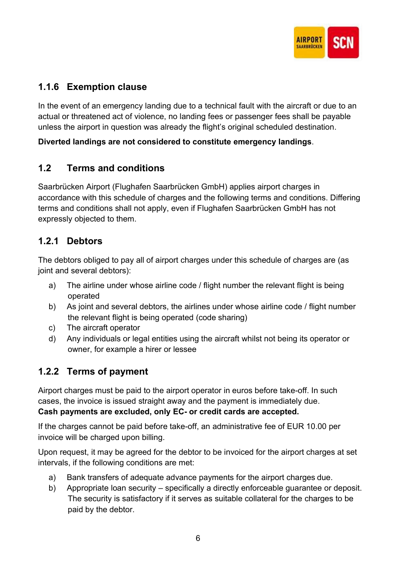

# 1.1.6 Exemption clause

In the event of an emergency landing due to a technical fault with the aircraft or due to an actual or threatened act of violence, no landing fees or passenger fees shall be payable unless the airport in question was already the flight's original scheduled destination.

### Diverted landings are not considered to constitute emergency landings.

### 1.2 Terms and conditions

Saarbrücken Airport (Flughafen Saarbrücken GmbH) applies airport charges in accordance with this schedule of charges and the following terms and conditions. Differing terms and conditions shall not apply, even if Flughafen Saarbrücken GmbH has not expressly objected to them.

### 1.2.1 Debtors

The debtors obliged to pay all of airport charges under this schedule of charges are (as joint and several debtors):

- a) The airline under whose airline code / flight number the relevant flight is being operated
- b) As joint and several debtors, the airlines under whose airline code / flight number the relevant flight is being operated (code sharing)
- c) The aircraft operator
- d) Any individuals or legal entities using the aircraft whilst not being its operator or owner, for example a hirer or lessee

### 1.2.2 Terms of payment

Airport charges must be paid to the airport operator in euros before take-off. In such cases, the invoice is issued straight away and the payment is immediately due. Cash payments are excluded, only EC- or credit cards are accepted.

If the charges cannot be paid before take-off, an administrative fee of EUR 10.00 per invoice will be charged upon billing.

Upon request, it may be agreed for the debtor to be invoiced for the airport charges at set intervals, if the following conditions are met:

- a) Bank transfers of adequate advance payments for the airport charges due.
- b) Appropriate loan security specifically a directly enforceable guarantee or deposit. The security is satisfactory if it serves as suitable collateral for the charges to be paid by the debtor.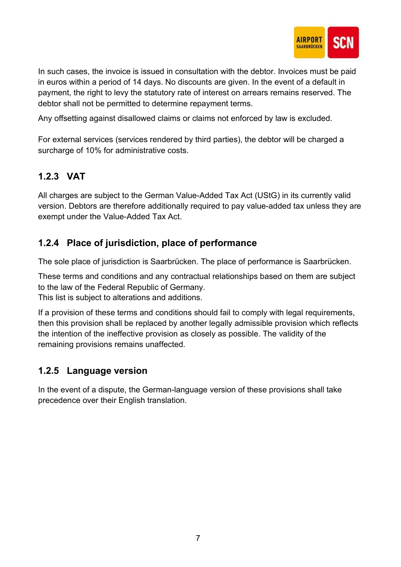

In such cases, the invoice is issued in consultation with the debtor. Invoices must be paid in euros within a period of 14 days. No discounts are given. In the event of a default in payment, the right to levy the statutory rate of interest on arrears remains reserved. The debtor shall not be permitted to determine repayment terms.

Any offsetting against disallowed claims or claims not enforced by law is excluded.

For external services (services rendered by third parties), the debtor will be charged a surcharge of 10% for administrative costs.

# 1.2.3 VAT

All charges are subject to the German Value-Added Tax Act (UStG) in its currently valid version. Debtors are therefore additionally required to pay value-added tax unless they are exempt under the Value-Added Tax Act.

# 1.2.4 Place of jurisdiction, place of performance

The sole place of jurisdiction is Saarbrücken. The place of performance is Saarbrücken.

These terms and conditions and any contractual relationships based on them are subject to the law of the Federal Republic of Germany.

This list is subject to alterations and additions.

If a provision of these terms and conditions should fail to comply with legal requirements, then this provision shall be replaced by another legally admissible provision which reflects the intention of the ineffective provision as closely as possible. The validity of the remaining provisions remains unaffected.

### 1.2.5 Language version

In the event of a dispute, the German-language version of these provisions shall take precedence over their English translation.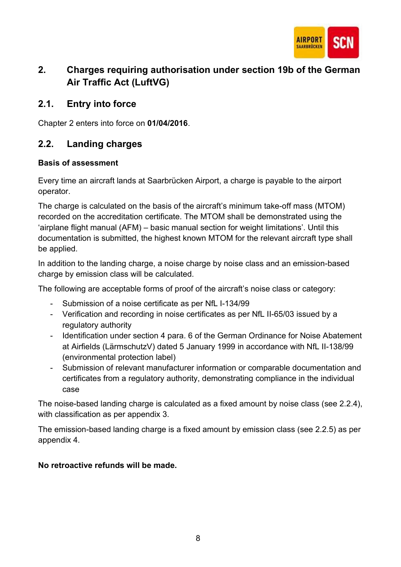

# 2. Charges requiring authorisation under section 19b of the German Air Traffic Act (LuftVG)

### 2.1. Entry into force

Chapter 2 enters into force on 01/04/2016.

### 2.2. Landing charges

### Basis of assessment

Every time an aircraft lands at Saarbrücken Airport, a charge is payable to the airport operator.

The charge is calculated on the basis of the aircraft's minimum take-off mass (MTOM) recorded on the accreditation certificate. The MTOM shall be demonstrated using the 'airplane flight manual (AFM) – basic manual section for weight limitations'. Until this documentation is submitted, the highest known MTOM for the relevant aircraft type shall be applied.

In addition to the landing charge, a noise charge by noise class and an emission-based charge by emission class will be calculated.

The following are acceptable forms of proof of the aircraft's noise class or category:

- Submission of a noise certificate as per NfL I-134/99
- Verification and recording in noise certificates as per NfL II-65/03 issued by a regulatory authority
- Identification under section 4 para. 6 of the German Ordinance for Noise Abatement at Airfields (LärmschutzV) dated 5 January 1999 in accordance with NfL II-138/99 (environmental protection label)
- Submission of relevant manufacturer information or comparable documentation and certificates from a regulatory authority, demonstrating compliance in the individual case

The noise-based landing charge is calculated as a fixed amount by noise class (see 2.2.4), with classification as per appendix 3.

The emission-based landing charge is a fixed amount by emission class (see 2.2.5) as per appendix 4.

### No retroactive refunds will be made.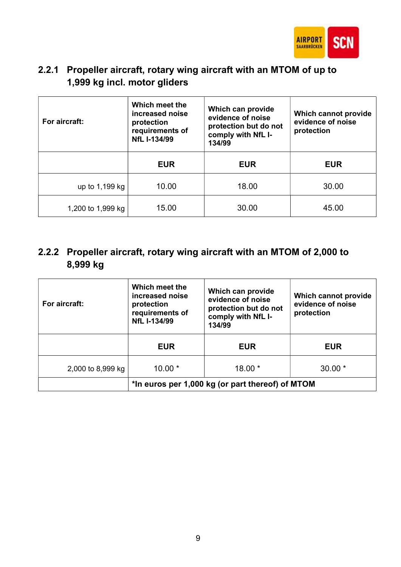

# 2.2.1 Propeller aircraft, rotary wing aircraft with an MTOM of up to 1,999 kg incl. motor gliders

| For aircraft:     | Which meet the<br>increased noise<br>protection<br>requirements of<br>NfL I-134/99 | Which can provide<br>evidence of noise<br>protection but do not<br>comply with NfL I-<br>134/99 | Which cannot provide<br>evidence of noise<br>protection |
|-------------------|------------------------------------------------------------------------------------|-------------------------------------------------------------------------------------------------|---------------------------------------------------------|
|                   | <b>EUR</b>                                                                         | <b>EUR</b>                                                                                      | <b>EUR</b>                                              |
| up to 1,199 kg    | 10.00                                                                              | 18.00                                                                                           | 30.00                                                   |
| 1,200 to 1,999 kg | 15.00                                                                              | 30.00                                                                                           | 45.00                                                   |

# 2.2.2 Propeller aircraft, rotary wing aircraft with an MTOM of 2,000 to 8,999 kg

| For aircraft:     | Which meet the<br>increased noise<br>protection<br>requirements of<br>NfL I-134/99 | Which can provide<br>evidence of noise<br>protection but do not<br>comply with NfL I-<br>134/99 | Which cannot provide<br>evidence of noise<br>protection |
|-------------------|------------------------------------------------------------------------------------|-------------------------------------------------------------------------------------------------|---------------------------------------------------------|
|                   | <b>EUR</b>                                                                         | <b>EUR</b>                                                                                      | <b>EUR</b>                                              |
| 2,000 to 8,999 kg | $10.00*$                                                                           | $18.00*$                                                                                        | $30.00*$                                                |
|                   | *In euros per 1,000 kg (or part thereof) of MTOM                                   |                                                                                                 |                                                         |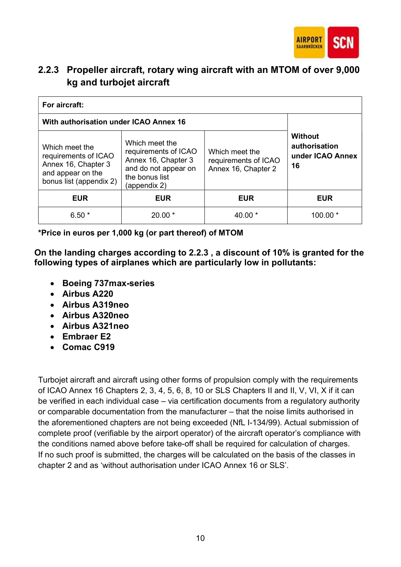

# 2.2.3 Propeller aircraft, rotary wing aircraft with an MTOM of over 9,000 kg and turbojet aircraft

| For aircraft:                                                                                                 |                                                                                                                         |                                                               |                                                           |
|---------------------------------------------------------------------------------------------------------------|-------------------------------------------------------------------------------------------------------------------------|---------------------------------------------------------------|-----------------------------------------------------------|
| With authorisation under ICAO Annex 16                                                                        |                                                                                                                         |                                                               |                                                           |
| Which meet the<br>requirements of ICAO<br>Annex 16, Chapter 3<br>and appear on the<br>bonus list (appendix 2) | Which meet the<br>requirements of ICAO<br>Annex 16, Chapter 3<br>and do not appear on<br>the bonus list<br>(appendix 2) | Which meet the<br>requirements of ICAO<br>Annex 16, Chapter 2 | <b>Without</b><br>authorisation<br>under ICAO Annex<br>16 |
| <b>EUR</b>                                                                                                    | <b>EUR</b>                                                                                                              | <b>EUR</b>                                                    | <b>EUR</b>                                                |
| $6.50*$                                                                                                       | $20.00*$                                                                                                                | 40.00 $*$                                                     | $100.00*$                                                 |

\*Price in euros per 1,000 kg (or part thereof) of MTOM

On the landing charges according to 2.2.3 , a discount of 10% is granted for the following types of airplanes which are particularly low in pollutants:

- Boeing 737max-series
- Airbus A220
- Airbus A319neo
- Airbus A320neo
- Airbus A321neo
- Embraer E2
- Comac C919

Turbojet aircraft and aircraft using other forms of propulsion comply with the requirements of ICAO Annex 16 Chapters 2, 3, 4, 5, 6, 8, 10 or SLS Chapters II and II, V, VI, X if it can be verified in each individual case – via certification documents from a regulatory authority or comparable documentation from the manufacturer – that the noise limits authorised in the aforementioned chapters are not being exceeded (NfL I-134/99). Actual submission of complete proof (verifiable by the airport operator) of the aircraft operator's compliance with the conditions named above before take-off shall be required for calculation of charges. If no such proof is submitted, the charges will be calculated on the basis of the classes in chapter 2 and as 'without authorisation under ICAO Annex 16 or SLS'.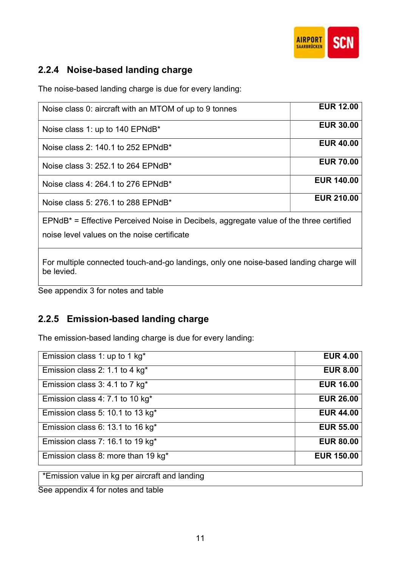

### 2.2.4 Noise-based landing charge

The noise-based landing charge is due for every landing:

| Noise class 0: aircraft with an MTOM of up to 9 tonnes                                                                                   | <b>EUR 12.00</b>  |  |
|------------------------------------------------------------------------------------------------------------------------------------------|-------------------|--|
| Noise class 1: up to 140 EPNdB*                                                                                                          | <b>EUR 30.00</b>  |  |
| Noise class 2: 140.1 to 252 EPNdB*                                                                                                       | <b>EUR 40.00</b>  |  |
| Noise class 3: 252.1 to 264 EPNdB*                                                                                                       | <b>EUR 70.00</b>  |  |
| Noise class 4: 264.1 to 276 EPNdB*                                                                                                       | <b>EUR 140,00</b> |  |
| Noise class 5: 276.1 to 288 EPNdB*                                                                                                       | <b>EUR 210.00</b> |  |
| $EPMdB^*$ = Effective Perceived Noise in Decibels, aggregate value of the three certified<br>noise level values on the noise certificate |                   |  |
| For multiple connected touch-and-go landings, only one noise-based landing charge will<br>be levied.                                     |                   |  |

See appendix 3 for notes and table

### 2.2.5 Emission-based landing charge

The emission-based landing charge is due for every landing:

| Emission class 1: up to 1 kg <sup>*</sup>    | <b>EUR 4.00</b>   |
|----------------------------------------------|-------------------|
| Emission class 2: 1.1 to 4 kg <sup>*</sup>   | <b>EUR 8.00</b>   |
| Emission class 3: 4.1 to 7 kg*               | <b>EUR 16.00</b>  |
| Emission class 4: 7.1 to 10 kg <sup>*</sup>  | <b>EUR 26.00</b>  |
| Emission class 5: 10.1 to 13 kg <sup>*</sup> | <b>EUR 44.00</b>  |
| Emission class 6: 13.1 to 16 kg <sup>*</sup> | <b>EUR 55.00</b>  |
| Emission class 7: 16.1 to 19 kg <sup>*</sup> | <b>EUR 80.00</b>  |
| Emission class 8: more than 19 kg*           | <b>EUR 150.00</b> |
|                                              |                   |

\*Emission value in kg per aircraft and landing

See appendix 4 for notes and table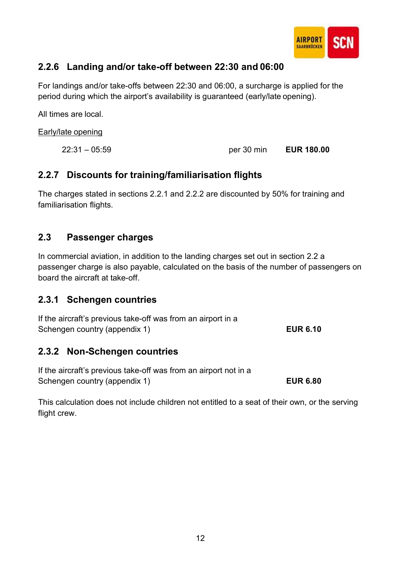

### 2.2.6 Landing and/or take-off between 22:30 and 06:00

For landings and/or take-offs between 22:30 and 06:00, a surcharge is applied for the period during which the airport's availability is guaranteed (early/late opening).

All times are local.

Early/late opening

22:31 – 05:59 per 30 min EUR 180.00

### 2.2.7 Discounts for training/familiarisation flights

The charges stated in sections 2.2.1 and 2.2.2 are discounted by 50% for training and familiarisation flights.

### 2.3 Passenger charges

In commercial aviation, in addition to the landing charges set out in section 2.2 a passenger charge is also payable, calculated on the basis of the number of passengers on board the aircraft at take-off.

### 2.3.1 Schengen countries

| If the aircraft's previous take-off was from an airport in a |                 |
|--------------------------------------------------------------|-----------------|
| Schengen country (appendix 1)                                | <b>EUR 6.10</b> |

### 2.3.2 Non-Schengen countries

If the aircraft's previous take-off was from an airport not in a Schengen country (appendix 1) EUR 6.80

This calculation does not include children not entitled to a seat of their own, or the serving flight crew.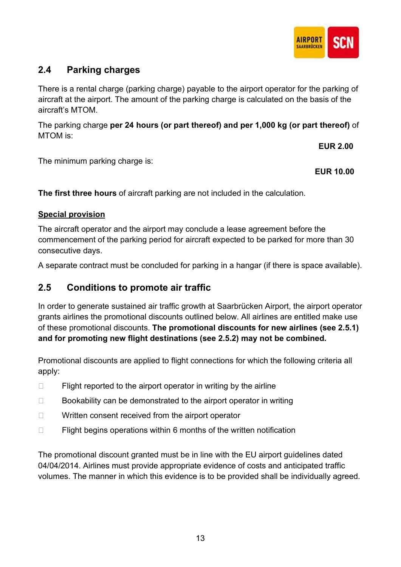

### 2.4 Parking charges

There is a rental charge (parking charge) payable to the airport operator for the parking of aircraft at the airport. The amount of the parking charge is calculated on the basis of the aircraft's MTOM.

The parking charge per 24 hours (or part thereof) and per 1,000 kg (or part thereof) of MTOM is:

EUR 2.00

The minimum parking charge is:

EUR 10.00

The first three hours of aircraft parking are not included in the calculation.

### Special provision

The aircraft operator and the airport may conclude a lease agreement before the commencement of the parking period for aircraft expected to be parked for more than 30 consecutive days.

A separate contract must be concluded for parking in a hangar (if there is space available).

### 2.5 Conditions to promote air traffic

In order to generate sustained air traffic growth at Saarbrücken Airport, the airport operator grants airlines the promotional discounts outlined below. All airlines are entitled make use of these promotional discounts. The promotional discounts for new airlines (see 2.5.1) and for promoting new flight destinations (see 2.5.2) may not be combined.

Promotional discounts are applied to flight connections for which the following criteria all apply:

- $\Box$  Flight reported to the airport operator in writing by the airline
- $\Box$  Bookability can be demonstrated to the airport operator in writing
- $\Box$  Written consent received from the airport operator
- $\Box$  Flight begins operations within 6 months of the written notification

The promotional discount granted must be in line with the EU airport guidelines dated 04/04/2014. Airlines must provide appropriate evidence of costs and anticipated traffic volumes. The manner in which this evidence is to be provided shall be individually agreed.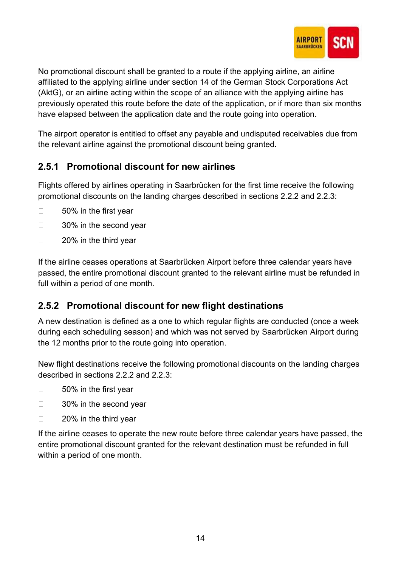

No promotional discount shall be granted to a route if the applying airline, an airline affiliated to the applying airline under section 14 of the German Stock Corporations Act (AktG), or an airline acting within the scope of an alliance with the applying airline has previously operated this route before the date of the application, or if more than six months have elapsed between the application date and the route going into operation.

The airport operator is entitled to offset any payable and undisputed receivables due from the relevant airline against the promotional discount being granted.

# 2.5.1 Promotional discount for new airlines

Flights offered by airlines operating in Saarbrücken for the first time receive the following promotional discounts on the landing charges described in sections 2.2.2 and 2.2.3:

- □ 50% in the first year
- □ 30% in the second year
- □ 20% in the third vear

If the airline ceases operations at Saarbrücken Airport before three calendar years have passed, the entire promotional discount granted to the relevant airline must be refunded in full within a period of one month.

### 2.5.2 Promotional discount for new flight destinations

A new destination is defined as a one to which regular flights are conducted (once a week during each scheduling season) and which was not served by Saarbrücken Airport during the 12 months prior to the route going into operation.

New flight destinations receive the following promotional discounts on the landing charges described in sections 2.2.2 and 2.2.3:

- □ 50% in the first year
- □ 30% in the second year
- □ 20% in the third year

If the airline ceases to operate the new route before three calendar years have passed, the entire promotional discount granted for the relevant destination must be refunded in full within a period of one month.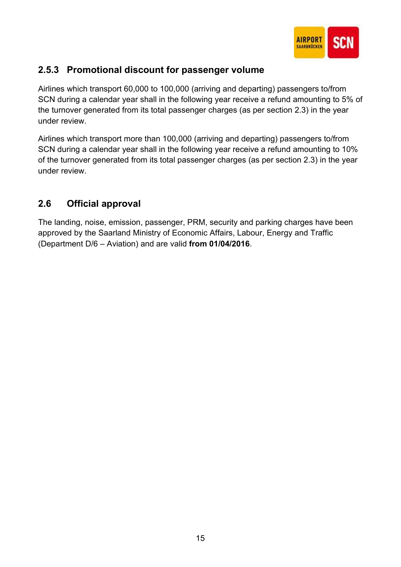

### 2.5.3 Promotional discount for passenger volume

Airlines which transport 60,000 to 100,000 (arriving and departing) passengers to/from SCN during a calendar year shall in the following year receive a refund amounting to 5% of the turnover generated from its total passenger charges (as per section 2.3) in the year under review.

Airlines which transport more than 100,000 (arriving and departing) passengers to/from SCN during a calendar year shall in the following year receive a refund amounting to 10% of the turnover generated from its total passenger charges (as per section 2.3) in the year under review.

# 2.6 Official approval

The landing, noise, emission, passenger, PRM, security and parking charges have been approved by the Saarland Ministry of Economic Affairs, Labour, Energy and Traffic (Department D/6 – Aviation) and are valid from 01/04/2016.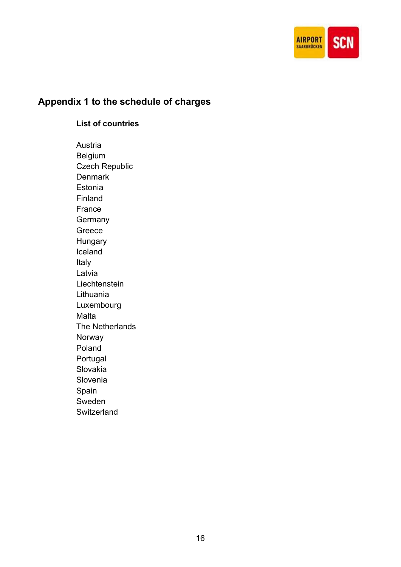

# Appendix 1 to the schedule of charges

### List of countries

Austria Belgium Czech Republic **Denmark** Estonia Finland France **Germany** Greece Hungary Iceland Italy Latvia **Liechtenstein** Lithuania Luxembourg Malta The Netherlands Norway Poland Portugal Slovakia Slovenia Spain Sweden **Switzerland**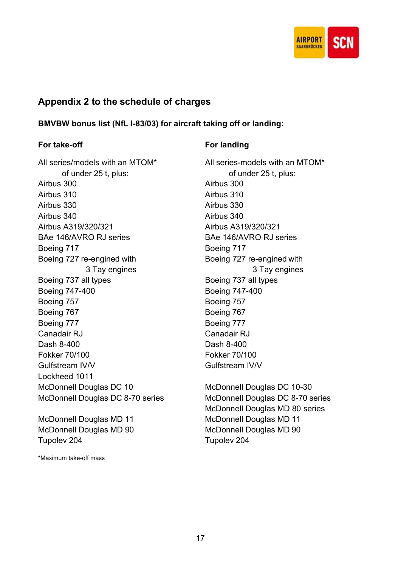

### Appendix 2 to the schedule of charges

BMVBW bonus list (NfL I-83/03) for aircraft taking off or landing:

### For take-off For landing

All series/models with an MTOM\* All series-models with an MTOM\* of under 25 t, plus: of under 25 t, plus: Airbus 300 Airbus 300 Airbus 310 Airbus 310 Airbus 330 Airbus 330 Airbus 340 Airbus 340 Airbus A319/320/321 Airbus A319/320/321 BAe 146/AVRO RJ series BAe 146/AVRO RJ series Boeing 717 Boeing 717 Boeing 727 re-engined with Boeing 727 re-engined with Boeing 737 all types Boeing 737 all types Boeing 747-400 Boeing 747-400 Boeing 757 Boeing 757 Boeing 767 Boeing 767 Boeing 777 Boeing 777 Canadair RJ Canadair RJ Dash 8-400 Dash 8-400 Fokker 70/100 Fokker 70/100 Gulfstream IV/V Gulfstream IV/V Lockheed 1011 McDonnell Douglas DC 10 McDonnell Douglas DC 10-30

McDonnell Douglas MD 11 McDonnell Douglas MD 11 McDonnell Douglas MD 90 McDonnell Douglas MD 90 Tupolev 204 Tupolev 204

\*Maximum take-off mass

3 Tay engines 3 Tay engines

McDonnell Douglas DC 8-70 series McDonnell Douglas DC 8-70 series McDonnell Douglas MD 80 series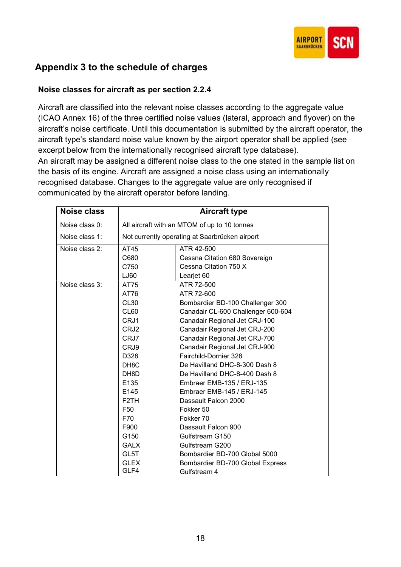

# Appendix 3 to the schedule of charges

### Noise classes for aircraft as per section 2.2.4

Aircraft are classified into the relevant noise classes according to the aggregate value (ICAO Annex 16) of the three certified noise values (lateral, approach and flyover) on the aircraft's noise certificate. Until this documentation is submitted by the aircraft operator, the aircraft type's standard noise value known by the airport operator shall be applied (see excerpt below from the internationally recognised aircraft type database). An aircraft may be assigned a different noise class to the one stated in the sample list on the basis of its engine. Aircraft are assigned a noise class using an internationally recognised database. Changes to the aggregate value are only recognised if communicated by the aircraft operator before landing.

| Noise class       | <b>Aircraft type</b>                         |                                                |
|-------------------|----------------------------------------------|------------------------------------------------|
| Noise class 0:    | All aircraft with an MTOM of up to 10 tonnes |                                                |
| Noise class 1:    |                                              | Not currently operating at Saarbrücken airport |
| Noise class $2$ : | AT45                                         | ATR 42-500                                     |
|                   | C680                                         | Cessna Citation 680 Sovereign                  |
|                   | C750                                         | Cessna Citation 750 X                          |
|                   | LJ60                                         | Learjet 60                                     |
| Noise class 3:    | AT75                                         | ATR 72-500                                     |
|                   | AT76                                         | ATR 72-600                                     |
|                   | <b>CL30</b>                                  | Bombardier BD-100 Challenger 300               |
|                   | CL <sub>60</sub>                             | Canadair CL-600 Challenger 600-604             |
|                   | CRJ1                                         | Canadair Regional Jet CRJ-100                  |
|                   | CRJ2                                         | Canadair Regional Jet CRJ-200                  |
|                   | CRJ7                                         | Canadair Regional Jet CRJ-700                  |
|                   | CRJ9                                         | Canadair Regional Jet CRJ-900                  |
|                   | D328                                         | Fairchild-Dornier 328                          |
|                   | DH <sub>8</sub> C                            | De Havilland DHC-8-300 Dash 8                  |
|                   | DH8D                                         | De Havilland DHC-8-400 Dash 8                  |
|                   | E135                                         | Embraer EMB-135 / ERJ-135                      |
|                   | E145                                         | Embraer EMB-145 / ERJ-145                      |
|                   | F <sub>2</sub> TH                            | Dassault Falcon 2000                           |
|                   | F <sub>50</sub>                              | Fokker 50                                      |
|                   | F70                                          | Fokker 70                                      |
|                   | F900                                         | Dassault Falcon 900                            |
|                   | G150                                         | Gulfstream G150                                |
|                   | <b>GALX</b>                                  | Gulfstream G200                                |
|                   | GL5T                                         | Bombardier BD-700 Global 5000                  |
|                   | <b>GLEX</b>                                  | Bombardier BD-700 Global Express               |
|                   | GLF4                                         | Gulfstream 4                                   |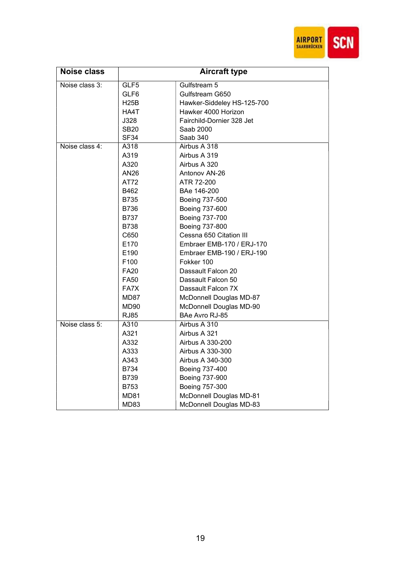

| <b>Noise class</b> | <b>Aircraft type</b> |                            |
|--------------------|----------------------|----------------------------|
| Noise class 3:     | GLF5                 | Gulfstream 5               |
|                    | GLF6                 | Gulfstream G650            |
|                    | <b>H25B</b>          | Hawker-Siddeley HS-125-700 |
|                    | HA4T                 | Hawker 4000 Horizon        |
|                    | J328                 | Fairchild-Dornier 328 Jet  |
|                    | <b>SB20</b>          | Saab 2000                  |
|                    | SF34                 | Saab 340                   |
| Noise class 4:     | A318                 | Airbus A 318               |
|                    | A319                 | Airbus A 319               |
|                    | A320                 | Airbus A 320               |
|                    | AN26                 | Antonov AN-26              |
|                    | AT72                 | ATR 72-200                 |
|                    | B462                 | BAe 146-200                |
|                    | B735                 | Boeing 737-500             |
|                    | B736                 | Boeing 737-600             |
|                    | <b>B737</b>          | Boeing 737-700             |
|                    | <b>B738</b>          | Boeing 737-800             |
|                    | C650                 | Cessna 650 Citation III    |
|                    | E170                 | Embraer EMB-170 / ERJ-170  |
|                    | E190                 | Embraer EMB-190 / ERJ-190  |
|                    | F100                 | Fokker 100                 |
|                    | FA20                 | Dassault Falcon 20         |
|                    | <b>FA50</b>          | Dassault Falcon 50         |
|                    | FA7X                 | Dassault Falcon 7X         |
|                    | MD87                 | McDonnell Douglas MD-87    |
|                    | MD90                 | McDonnell Douglas MD-90    |
|                    | <b>RJ85</b>          | BAe Avro RJ-85             |
| Noise class 5:     | A310                 | Airbus A 310               |
|                    | A321                 | Airbus A 321               |
|                    | A332                 | Airbus A 330-200           |
|                    | A333                 | Airbus A 330-300           |
|                    | A343                 | Airbus A 340-300           |
|                    | B734                 | Boeing 737-400             |
|                    | B739                 | Boeing 737-900             |
|                    | B753                 | Boeing 757-300             |
|                    | <b>MD81</b>          | McDonnell Douglas MD-81    |
|                    | MD83                 | McDonnell Douglas MD-83    |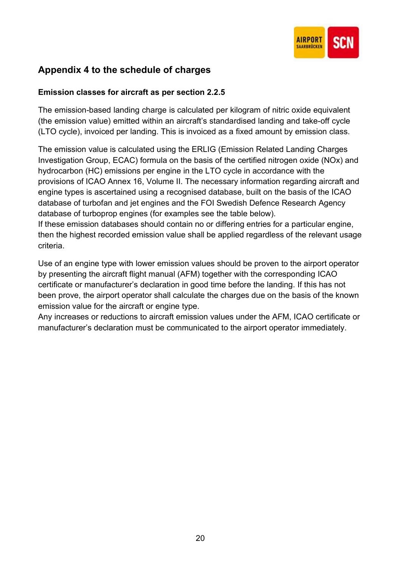

### Appendix 4 to the schedule of charges

### Emission classes for aircraft as per section 2.2.5

The emission-based landing charge is calculated per kilogram of nitric oxide equivalent (the emission value) emitted within an aircraft's standardised landing and take-off cycle (LTO cycle), invoiced per landing. This is invoiced as a fixed amount by emission class.

The emission value is calculated using the ERLIG (Emission Related Landing Charges Investigation Group, ECAC) formula on the basis of the certified nitrogen oxide (NOx) and hydrocarbon (HC) emissions per engine in the LTO cycle in accordance with the provisions of ICAO Annex 16, Volume II. The necessary information regarding aircraft and engine types is ascertained using a recognised database, built on the basis of the ICAO database of turbofan and jet engines and the FOI Swedish Defence Research Agency database of turboprop engines (for examples see the table below).

If these emission databases should contain no or differing entries for a particular engine, then the highest recorded emission value shall be applied regardless of the relevant usage criteria.

Use of an engine type with lower emission values should be proven to the airport operator by presenting the aircraft flight manual (AFM) together with the corresponding ICAO certificate or manufacturer's declaration in good time before the landing. If this has not been prove, the airport operator shall calculate the charges due on the basis of the known emission value for the aircraft or engine type.

Any increases or reductions to aircraft emission values under the AFM, ICAO certificate or manufacturer's declaration must be communicated to the airport operator immediately.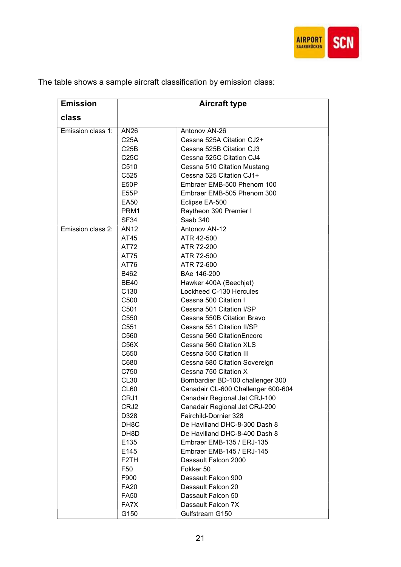

| <b>Emission</b>   | <b>Aircraft type</b> |                                    |  |
|-------------------|----------------------|------------------------------------|--|
| class             |                      |                                    |  |
| Emission class 1: | AN <sub>26</sub>     | Antonov AN-26                      |  |
|                   | C <sub>25A</sub>     | Cessna 525A Citation CJ2+          |  |
|                   | C25B                 | Cessna 525B Citation CJ3           |  |
|                   | C25C                 | Cessna 525C Citation CJ4           |  |
|                   | C510                 | Cessna 510 Citation Mustang        |  |
|                   | C525                 | Cessna 525 Citation CJ1+           |  |
|                   | E50P                 | Embraer EMB-500 Phenom 100         |  |
|                   | E55P                 | Embraer EMB-505 Phenom 300         |  |
|                   | <b>EA50</b>          | Eclipse EA-500                     |  |
|                   | PRM1                 | Raytheon 390 Premier I             |  |
|                   | SF34                 | Saab 340                           |  |
| Emission class 2: | AN <sub>12</sub>     | Antonov AN-12                      |  |
|                   | AT45                 | ATR 42-500                         |  |
|                   | AT72                 | ATR 72-200                         |  |
|                   | AT75                 | ATR 72-500                         |  |
|                   | AT76                 | ATR 72-600                         |  |
|                   | B462                 | BAe 146-200                        |  |
|                   | <b>BE40</b>          | Hawker 400A (Beechjet)             |  |
|                   | C <sub>130</sub>     | Lockheed C-130 Hercules            |  |
|                   | C500                 | Cessna 500 Citation I              |  |
|                   | C501                 | Cessna 501 Citation I/SP           |  |
|                   | C <sub>550</sub>     | Cessna 550B Citation Bravo         |  |
|                   | C551                 | Cessna 551 Citation II/SP          |  |
|                   | C560                 | Cessna 560 Citation Encore         |  |
|                   | C56X                 | Cessna 560 Citation XLS            |  |
|                   | C650                 | Cessna 650 Citation III            |  |
|                   | C680                 | Cessna 680 Citation Sovereign      |  |
|                   | C750                 | Cessna 750 Citation X              |  |
|                   | CL <sub>30</sub>     | Bombardier BD-100 challenger 300   |  |
|                   | CL60                 | Canadair CL-600 Challenger 600-604 |  |
|                   | CRJ1                 | Canadair Regional Jet CRJ-100      |  |
|                   | CRJ2                 | Canadair Regional Jet CRJ-200      |  |
|                   | D328                 | Fairchild-Dornier 328              |  |
|                   | DH <sub>8</sub> C    | De Havilland DHC-8-300 Dash 8      |  |
|                   | DH8D                 | De Havilland DHC-8-400 Dash 8      |  |
|                   | E135                 | Embraer EMB-135 / ERJ-135          |  |
|                   | E145                 | Embraer EMB-145 / ERJ-145          |  |
|                   | F2TH                 | Dassault Falcon 2000               |  |
|                   | F50                  | Fokker 50                          |  |
|                   | F900                 | Dassault Falcon 900                |  |
|                   | <b>FA20</b>          | Dassault Falcon 20                 |  |
|                   | <b>FA50</b>          | Dassault Falcon 50                 |  |
|                   | FA7X                 | Dassault Falcon 7X                 |  |
|                   | G150                 | Gulfstream G150                    |  |

The table shows a sample aircraft classification by emission class: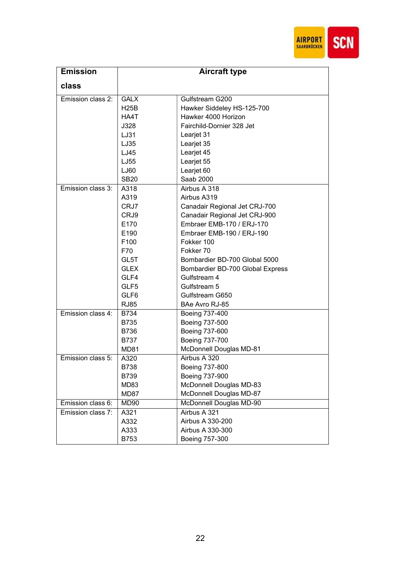

| <b>Emission</b>   |                  | <b>Aircraft type</b>             |
|-------------------|------------------|----------------------------------|
| class             |                  |                                  |
| Emission class 2: | <b>GALX</b>      | Gulfstream G200                  |
|                   | <b>H25B</b>      | Hawker Siddeley HS-125-700       |
|                   | HA4T             | Hawker 4000 Horizon              |
|                   | J328             | Fairchild-Dornier 328 Jet        |
|                   | LJ31             | Learjet 31                       |
|                   | LJ35             | Learjet 35                       |
|                   | LJ45             | Learjet 45                       |
|                   | LJ55             | Learjet 55                       |
|                   | LJ60             | Learjet 60                       |
|                   | <b>SB20</b>      | Saab 2000                        |
| Emission class 3: | A318             | Airbus A 318                     |
|                   | A319             | Airbus A319                      |
|                   | CRJ7             | Canadair Regional Jet CRJ-700    |
|                   | CRJ9             | Canadair Regional Jet CRJ-900    |
|                   | E170             | Embraer EMB-170 / ERJ-170        |
|                   | E190             | Embraer EMB-190 / ERJ-190        |
|                   | F <sub>100</sub> | Fokker 100                       |
|                   | F70              | Fokker 70                        |
|                   | GL5T             | Bombardier BD-700 Global 5000    |
|                   | <b>GLEX</b>      | Bombardier BD-700 Global Express |
|                   | GLF4             | Gulfstream 4                     |
|                   | GLF <sub>5</sub> | Gulfstream 5                     |
|                   | GLF <sub>6</sub> | Gulfstream G650                  |
|                   | <b>RJ85</b>      | BAe Avro RJ-85                   |
| Emission class 4: | <b>B734</b>      | Boeing 737-400                   |
|                   | <b>B735</b>      | Boeing 737-500                   |
|                   | <b>B736</b>      | Boeing 737-600                   |
|                   | <b>B737</b>      | Boeing 737-700                   |
|                   | <b>MD81</b>      | McDonnell Douglas MD-81          |
| Emission class 5: | A320             | Airbus A 320                     |
|                   | B738             | Boeing 737-800                   |
|                   | B739             | Boeing 737-900                   |
|                   | MD83             | McDonnell Douglas MD-83          |
|                   | MD87             | McDonnell Douglas MD-87          |
| Emission class 6: | MD90             | McDonnell Douglas MD-90          |
| Emission class 7: | A321             | Airbus A 321                     |
|                   | A332             | Airbus A 330-200                 |
|                   | A333             | Airbus A 330-300                 |
|                   | B753             | Boeing 757-300                   |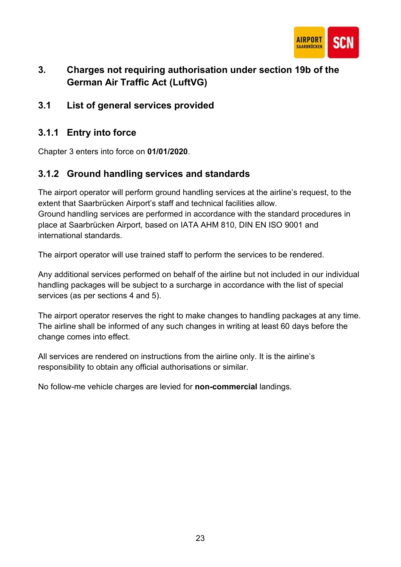

# 3. Charges not requiring authorisation under section 19b of the German Air Traffic Act (LuftVG)

3.1 List of general services provided

### 3.1.1 Entry into force

Chapter 3 enters into force on 01/01/2020.

### 3.1.2 Ground handling services and standards

The airport operator will perform ground handling services at the airline's request, to the extent that Saarbrücken Airport's staff and technical facilities allow. Ground handling services are performed in accordance with the standard procedures in place at Saarbrücken Airport, based on IATA AHM 810, DIN EN ISO 9001 and international standards.

The airport operator will use trained staff to perform the services to be rendered.

Any additional services performed on behalf of the airline but not included in our individual handling packages will be subject to a surcharge in accordance with the list of special services (as per sections 4 and 5).

The airport operator reserves the right to make changes to handling packages at any time. The airline shall be informed of any such changes in writing at least 60 days before the change comes into effect.

All services are rendered on instructions from the airline only. It is the airline's responsibility to obtain any official authorisations or similar.

No follow-me vehicle charges are levied for non-commercial landings.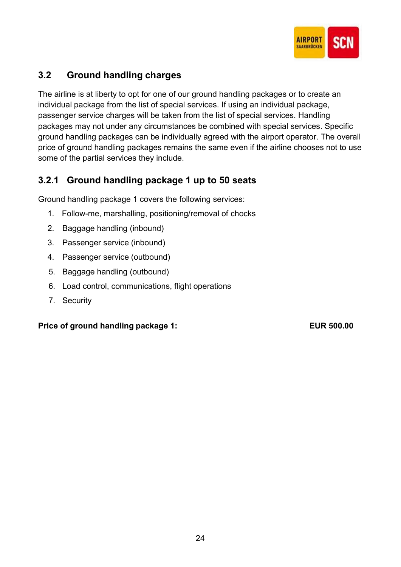

# 3.2 Ground handling charges

The airline is at liberty to opt for one of our ground handling packages or to create an individual package from the list of special services. If using an individual package, passenger service charges will be taken from the list of special services. Handling packages may not under any circumstances be combined with special services. Specific ground handling packages can be individually agreed with the airport operator. The overall price of ground handling packages remains the same even if the airline chooses not to use some of the partial services they include.

### 3.2.1 Ground handling package 1 up to 50 seats

Ground handling package 1 covers the following services:

- 1. Follow-me, marshalling, positioning/removal of chocks
- 2. Baggage handling (inbound)
- 3. Passenger service (inbound)
- 4. Passenger service (outbound)
- 5. Baggage handling (outbound)
- 6. Load control, communications, flight operations
- 7. Security

### Price of ground handling package 1: EUR 500.00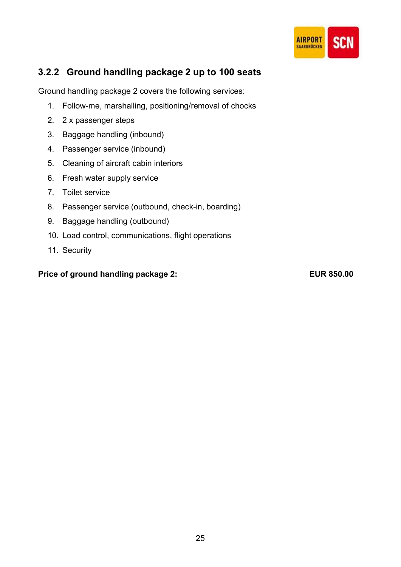

### 3.2.2 Ground handling package 2 up to 100 seats

Ground handling package 2 covers the following services:

- 1. Follow-me, marshalling, positioning/removal of chocks
- 2. 2 x passenger steps
- 3. Baggage handling (inbound)
- 4. Passenger service (inbound)
- 5. Cleaning of aircraft cabin interiors
- 6. Fresh water supply service
- 7. Toilet service
- 8. Passenger service (outbound, check-in, boarding)
- 9. Baggage handling (outbound)
- 10. Load control, communications, flight operations
- 11. Security

### Price of ground handling package 2: EUR 850.00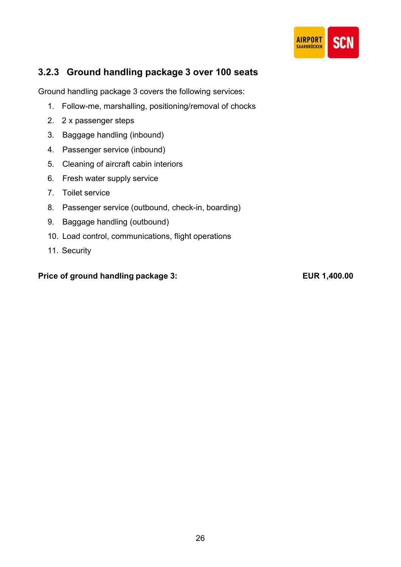

### 3.2.3 Ground handling package 3 over 100 seats

Ground handling package 3 covers the following services:

- 1. Follow-me, marshalling, positioning/removal of chocks
- 2. 2 x passenger steps
- 3. Baggage handling (inbound)
- 4. Passenger service (inbound)
- 5. Cleaning of aircraft cabin interiors
- 6. Fresh water supply service
- 7. Toilet service
- 8. Passenger service (outbound, check-in, boarding)
- 9. Baggage handling (outbound)
- 10. Load control, communications, flight operations
- 11. Security

### Price of ground handling package 3: EUR 1,400.00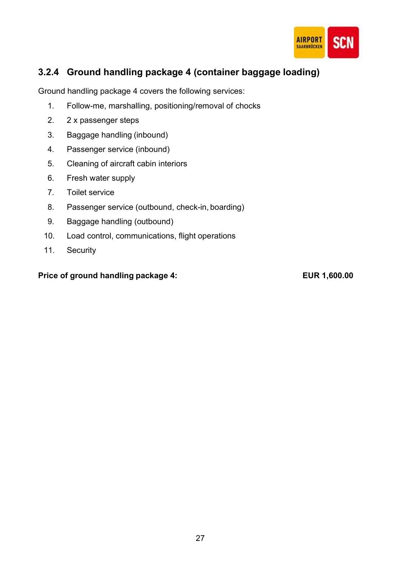

### 3.2.4 Ground handling package 4 (container baggage loading)

Ground handling package 4 covers the following services:

- 1. Follow-me, marshalling, positioning/removal of chocks
- 2. 2 x passenger steps
- 3. Baggage handling (inbound)
- 4. Passenger service (inbound)
- 5. Cleaning of aircraft cabin interiors
- 6. Fresh water supply
- 7. Toilet service
- 8. Passenger service (outbound, check-in, boarding)
- 9. Baggage handling (outbound)
- 10. Load control, communications, flight operations
- 11. Security

### Price of ground handling package 4: EUR 1,600.00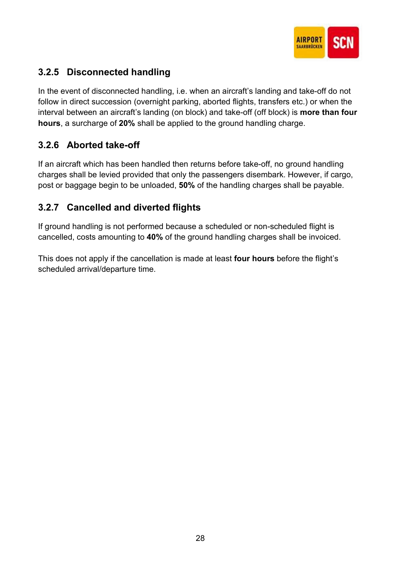

# 3.2.5 Disconnected handling

In the event of disconnected handling, i.e. when an aircraft's landing and take-off do not follow in direct succession (overnight parking, aborted flights, transfers etc.) or when the interval between an aircraft's landing (on block) and take-off (off block) is more than four hours, a surcharge of 20% shall be applied to the ground handling charge.

### 3.2.6 Aborted take-off

If an aircraft which has been handled then returns before take-off, no ground handling charges shall be levied provided that only the passengers disembark. However, if cargo, post or baggage begin to be unloaded, 50% of the handling charges shall be payable.

# 3.2.7 Cancelled and diverted flights

If ground handling is not performed because a scheduled or non-scheduled flight is cancelled, costs amounting to 40% of the ground handling charges shall be invoiced.

This does not apply if the cancellation is made at least **four hours** before the flight's scheduled arrival/departure time.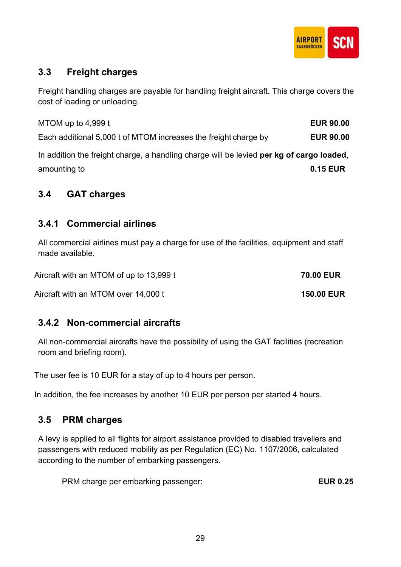

### 3.3 Freight charges

Freight handling charges are payable for handling freight aircraft. This charge covers the cost of loading or unloading.

MTOM up to 4,999 t Each additional 5,000 t of MTOM increases the freight charge by **EUR 90.00** In addition the freight charge, a handling charge will be levied per kg of cargo loaded, amounting to **0.15 EUR** 

### 3.4 GAT charges

### 3.4.1 Commercial airlines

All commercial airlines must pay a charge for use of the facilities, equipment and staff made available.

Aircraft with an MTOM of up to 13,999 t 70.00 EUR

Aircraft with an MTOM over 14,000 t 150.00 EUR

### 3.4.2 Non-commercial aircrafts

All non-commercial aircrafts have the possibility of using the GAT facilities (recreation room and briefing room).

The user fee is 10 EUR for a stay of up to 4 hours per person.

In addition, the fee increases by another 10 EUR per person per started 4 hours.

### 3.5 PRM charges

A levy is applied to all flights for airport assistance provided to disabled travellers and passengers with reduced mobility as per Regulation (EC) No. 1107/2006, calculated according to the number of embarking passengers.

PRM charge per embarking passenger: EUR 0.25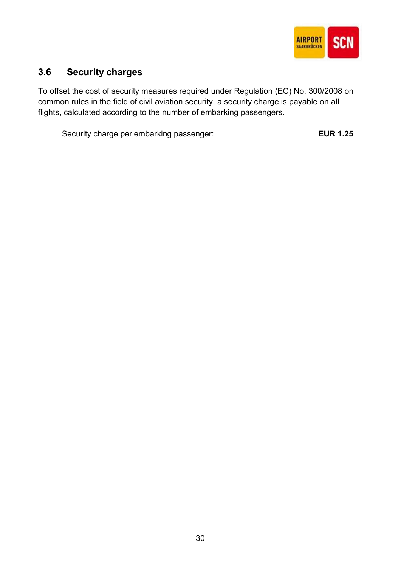

# 3.6 Security charges

To offset the cost of security measures required under Regulation (EC) No. 300/2008 on common rules in the field of civil aviation security, a security charge is payable on all flights, calculated according to the number of embarking passengers.

Security charge per embarking passenger: EUR 1.25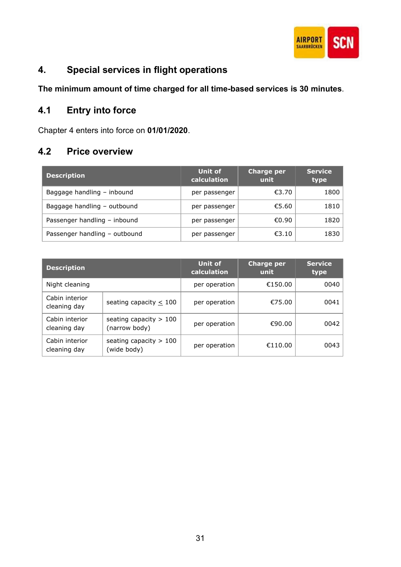

# 4. Special services in flight operations

The minimum amount of time charged for all time-based services is 30 minutes.

# 4.1 Entry into force

Chapter 4 enters into force on 01/01/2020.

### 4.2 Price overview

| <b>Description</b>            | Unit of<br>calculation | <b>Charge per</b><br>unit | <b>Service</b><br>type |
|-------------------------------|------------------------|---------------------------|------------------------|
| Baggage handling - inbound    | per passenger          | €3.70                     | 1800                   |
| Baggage handling - outbound   | per passenger          | €5.60                     | 1810                   |
| Passenger handling - inbound  | per passenger          | €0.90                     | 1820                   |
| Passenger handling - outbound | per passenger          | €3.10                     | 1830                   |

| <b>Description</b>             |                                           | <b>Unit of</b><br>calculation | <b>Charge per</b><br>unit | <b>Service</b><br>type |
|--------------------------------|-------------------------------------------|-------------------------------|---------------------------|------------------------|
| Night cleaning                 |                                           | per operation                 | €150.00                   | 0040                   |
| Cabin interior<br>cleaning day | seating capacity $\leq 100$               | per operation                 | €75.00                    | 0041                   |
| Cabin interior<br>cleaning day | seating capacity $> 100$<br>(narrow body) | per operation                 | €90.00                    | 0042                   |
| Cabin interior<br>cleaning day | seating capacity $> 100$<br>(wide body)   | per operation                 | €110.00                   | 0043                   |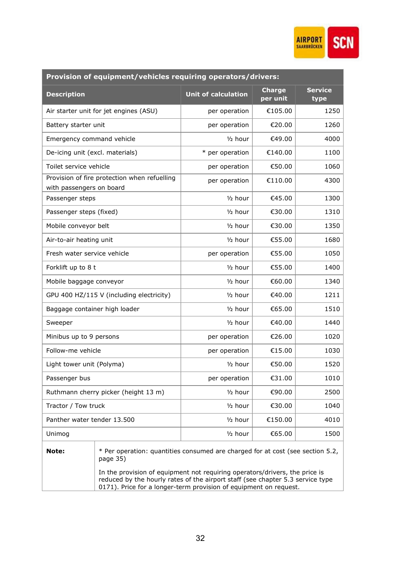

| Provision of equipment/vehicles requiring operators/drivers: |                                                                                            |                            |                           |                        |  |
|--------------------------------------------------------------|--------------------------------------------------------------------------------------------|----------------------------|---------------------------|------------------------|--|
| <b>Description</b>                                           |                                                                                            | <b>Unit of calculation</b> | <b>Charge</b><br>per unit | <b>Service</b><br>type |  |
|                                                              | Air starter unit for jet engines (ASU)                                                     | per operation              | €105.00                   | 1250                   |  |
| Battery starter unit                                         |                                                                                            | per operation              | €20.00                    | 1260                   |  |
| Emergency command vehicle                                    |                                                                                            | $1/2$ hour                 | €49.00                    | 4000                   |  |
| De-icing unit (excl. materials)                              |                                                                                            | * per operation            | €140.00                   | 1100                   |  |
| Toilet service vehicle                                       |                                                                                            | per operation              | €50.00                    | 1060                   |  |
| with passengers on board                                     | Provision of fire protection when refuelling                                               | per operation              | €110.00                   | 4300                   |  |
| Passenger steps                                              |                                                                                            | $1/2$ hour                 | €45.00                    | 1300                   |  |
| Passenger steps (fixed)                                      |                                                                                            | $1/2$ hour                 | €30.00                    | 1310                   |  |
| Mobile conveyor belt                                         |                                                                                            | $1/2$ hour                 | €30.00                    | 1350                   |  |
| Air-to-air heating unit                                      |                                                                                            | $1/2$ hour                 | €55.00                    | 1680                   |  |
| Fresh water service vehicle                                  |                                                                                            | per operation              | €55.00                    | 1050                   |  |
| Forklift up to 8 t                                           |                                                                                            | $1/2$ hour                 | €55.00                    | 1400                   |  |
| Mobile baggage conveyor                                      |                                                                                            | 1/ <sub>2</sub> hour       | €60.00                    | 1340                   |  |
| GPU 400 HZ/115 V (including electricity)                     |                                                                                            | $1/2$ hour                 | €40.00                    | 1211                   |  |
| Baggage container high loader                                |                                                                                            | 1/ <sub>2</sub> hour       | €65.00                    | 1510                   |  |
| Sweeper                                                      |                                                                                            | 1/ <sub>2</sub> hour       | €40.00                    | 1440                   |  |
| Minibus up to 9 persons                                      |                                                                                            | per operation              | €26.00                    | 1020                   |  |
| Follow-me vehicle                                            |                                                                                            | per operation              | €15.00                    | 1030                   |  |
| Light tower unit (Polyma)                                    |                                                                                            | $1/2$ hour                 | €50.00                    | 1520                   |  |
| Passenger bus                                                |                                                                                            | per operation              | €31.00                    | 1010                   |  |
|                                                              | Ruthmann cherry picker (height 13 m)                                                       | 1/ <sub>2</sub> hour       | €90.00                    | 2500                   |  |
| Tractor / Tow truck                                          |                                                                                            | 1/ <sub>2</sub> hour       | €30.00                    | 1040                   |  |
| Panther water tender 13.500                                  |                                                                                            | 1/ <sub>2</sub> hour       | €150.00                   | 4010                   |  |
| Unimog                                                       |                                                                                            | 1/ <sub>2</sub> hour       | €65.00                    | 1500                   |  |
| Note:                                                        | * Per operation: quantities consumed are charged for at cost (see section 5.2,<br>page 35) |                            |                           |                        |  |

In the provision of equipment not requiring operators/drivers, the price is reduced by the hourly rates of the airport staff (see chapter 5.3 service type 0171). Price for a longer-term provision of equipment on request.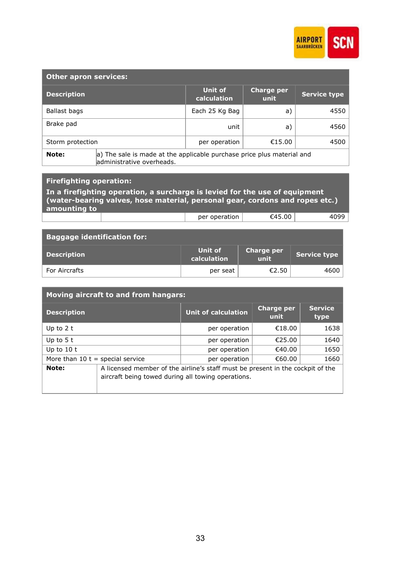

| <b>Other apron services:</b> |                                                                                                     |                        |                           |                     |
|------------------------------|-----------------------------------------------------------------------------------------------------|------------------------|---------------------------|---------------------|
| <b>Description</b>           |                                                                                                     | Unit of<br>calculation | <b>Charge per</b><br>unit | <b>Service type</b> |
| Ballast bags                 |                                                                                                     | Each 25 Kg Bag         | a)                        | 4550                |
| Brake pad                    |                                                                                                     | unit                   | a)                        | 4560                |
| Storm protection             |                                                                                                     | per operation          | €15.00                    | 4500                |
| Note:                        | a) The sale is made at the applicable purchase price plus material and<br>administrative overheads. |                        |                           |                     |

### Firefighting operation:

| In a firefighting operation, a surcharge is levied for the use of equipment<br>(water-bearing valves, hose material, personal gear, cordons and ropes etc.)<br>amounting to |  |               |        |      |  |
|-----------------------------------------------------------------------------------------------------------------------------------------------------------------------------|--|---------------|--------|------|--|
|                                                                                                                                                                             |  | per operation | €45.00 | 4099 |  |

| <b>Baggage identification for:</b> |                        |                                         |                     |
|------------------------------------|------------------------|-----------------------------------------|---------------------|
| <b>Description</b>                 | Unit of<br>calculation | <b>Charge per</b><br>lunit <sup>'</sup> | <b>Service type</b> |
| For Aircrafts                      | per seat               | €2.50                                   | 4600                |

| <b>Moving aircraft to and from hangars:</b> |                                                                                                                                      |                     |                    |                        |  |
|---------------------------------------------|--------------------------------------------------------------------------------------------------------------------------------------|---------------------|--------------------|------------------------|--|
| <b>Description</b>                          |                                                                                                                                      | Unit of calculation | Charge per<br>unit | <b>Service</b><br>type |  |
| Up to $2t$                                  |                                                                                                                                      | per operation       | €18.00             | 1638                   |  |
| Up to $5t$                                  |                                                                                                                                      | per operation       | €25.00             | 1640                   |  |
| Up to $10t$                                 |                                                                                                                                      | per operation       | €40.00             | 1650                   |  |
| More than $10$ t = special service          |                                                                                                                                      | per operation       | €60.00             | 1660                   |  |
| Note:                                       | A licensed member of the airline's staff must be present in the cockpit of the<br>aircraft being towed during all towing operations. |                     |                    |                        |  |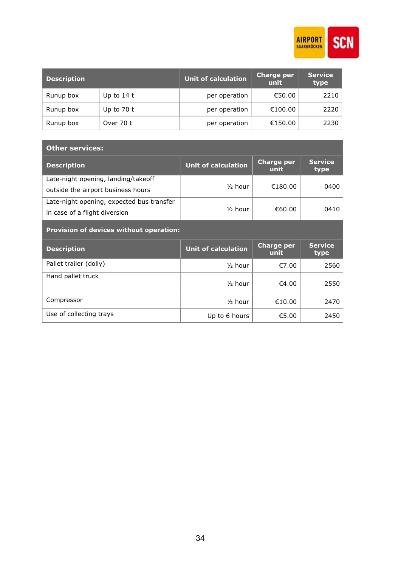

| <b>Description</b> |             | <b>Unit of calculation</b> | <b>Charge per</b><br>unit | <b>Service</b><br>type |
|--------------------|-------------|----------------------------|---------------------------|------------------------|
| Runup box          | Up to $14t$ | per operation              | €50.00                    | 2210                   |
| Runup box          | Up to $70t$ | per operation              | €100.00                   | 2220                   |
| Runup box          | Over 70 t   | per operation              | €150.00                   | 2230                   |

| <b>Other services:</b>                                                     |                            |                           |                        |  |
|----------------------------------------------------------------------------|----------------------------|---------------------------|------------------------|--|
| <b>Description</b>                                                         | <b>Unit of calculation</b> | <b>Charge per</b><br>unit | <b>Service</b><br>type |  |
| Late-night opening, landing/takeoff<br>outside the airport business hours  | $\frac{1}{2}$ hour         | €180.00                   | 0400                   |  |
| Late-night opening, expected bus transfer<br>in case of a flight diversion | $\frac{1}{2}$ hour         | €60.00                    | 0410                   |  |
| <b>Provision of devices without operation:</b>                             |                            |                           |                        |  |
|                                                                            |                            |                           |                        |  |
| <b>Description</b>                                                         | <b>Unit of calculation</b> | <b>Charge per</b><br>unit | <b>Service</b><br>type |  |
| Pallet trailer (dolly)                                                     | $\frac{1}{2}$ hour         | €7.00                     | 2560                   |  |
| Hand pallet truck                                                          | $\frac{1}{2}$ hour         | €4.00                     | 2550                   |  |
| Compressor                                                                 | $\frac{1}{2}$ hour         | €10.00                    | 2470                   |  |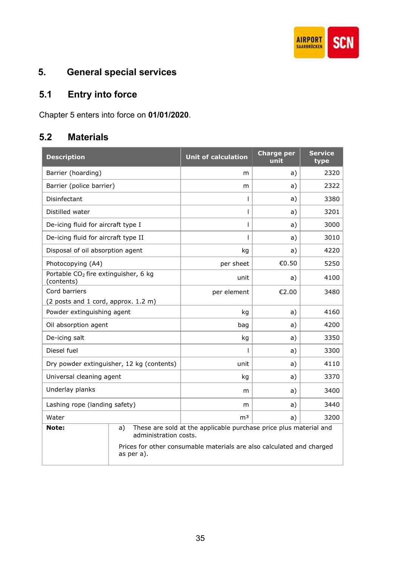

# 5. General special services

# 5.1 Entry into force

Chapter 5 enters into force on 01/01/2020.

### 5.2 Materials

| <b>Description</b>                                             |                                           | <b>Unit of calculation</b>                                            | <b>Charge per</b><br>unit | <b>Service</b><br>type |
|----------------------------------------------------------------|-------------------------------------------|-----------------------------------------------------------------------|---------------------------|------------------------|
| Barrier (hoarding)                                             |                                           | m                                                                     | a)                        | 2320                   |
| Barrier (police barrier)                                       |                                           | m                                                                     | a)                        | 2322                   |
| Disinfectant                                                   |                                           | T                                                                     | a)                        | 3380                   |
| Distilled water                                                |                                           | I                                                                     | a)                        | 3201                   |
| De-icing fluid for aircraft type I                             |                                           |                                                                       | a)                        | 3000                   |
| De-icing fluid for aircraft type II                            |                                           |                                                                       | a)                        | 3010                   |
| Disposal of oil absorption agent                               |                                           | kg                                                                    | a)                        | 4220                   |
| Photocopying (A4)                                              |                                           | per sheet                                                             | €0.50                     | 5250                   |
| Portable CO <sub>2</sub> fire extinguisher, 6 kg<br>(contents) |                                           | unit                                                                  | a)                        | 4100                   |
| Cord barriers                                                  |                                           | per element                                                           | €2.00                     | 3480                   |
| (2 posts and 1 cord, approx. 1.2 m)                            |                                           |                                                                       |                           |                        |
| Powder extinguishing agent                                     |                                           | kg                                                                    | a)                        | 4160                   |
| Oil absorption agent                                           |                                           | bag                                                                   | a)                        | 4200                   |
| De-icing salt                                                  |                                           | kg                                                                    | a)                        | 3350                   |
| Diesel fuel                                                    |                                           |                                                                       | a)                        | 3300                   |
|                                                                | Dry powder extinguisher, 12 kg (contents) | unit                                                                  | a)                        | 4110                   |
| Universal cleaning agent                                       |                                           | kg                                                                    | a)                        | 3370                   |
| Underlay planks                                                |                                           | m                                                                     | a)                        | 3400                   |
| Lashing rope (landing safety)                                  |                                           | m                                                                     | a)                        | 3440                   |
| Water                                                          |                                           | m <sup>3</sup>                                                        | a)                        | 3200                   |
| Note:                                                          | a)<br>administration costs.               | These are sold at the applicable purchase price plus material and     |                           |                        |
|                                                                | as per a).                                | Prices for other consumable materials are also calculated and charged |                           |                        |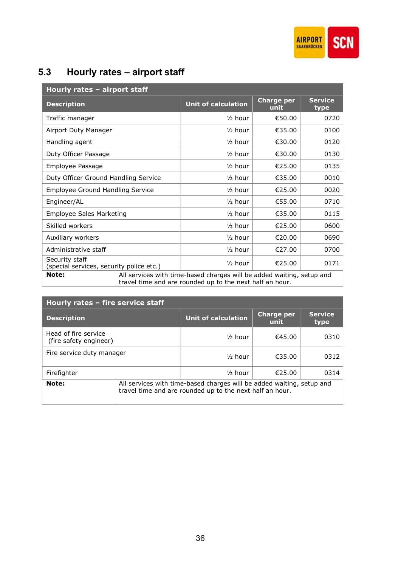

# 5.3 Hourly rates – airport staff

| Hourly rates - airport staff                               |                                                                                                                                   |                            |                           |                        |
|------------------------------------------------------------|-----------------------------------------------------------------------------------------------------------------------------------|----------------------------|---------------------------|------------------------|
| <b>Description</b>                                         |                                                                                                                                   | <b>Unit of calculation</b> | <b>Charge per</b><br>unit | <b>Service</b><br>type |
| Traffic manager                                            |                                                                                                                                   | $\frac{1}{2}$ hour         | €50.00                    | 0720                   |
| Airport Duty Manager                                       |                                                                                                                                   | $\frac{1}{2}$ hour         | €35.00                    | 0100                   |
| Handling agent                                             |                                                                                                                                   | $1/2$ hour                 | €30.00                    | 0120                   |
| Duty Officer Passage                                       |                                                                                                                                   | $\frac{1}{2}$ hour         | €30.00                    | 0130                   |
| Employee Passage                                           |                                                                                                                                   | $\frac{1}{2}$ hour         | €25.00                    | 0135                   |
| Duty Officer Ground Handling Service                       |                                                                                                                                   | $\frac{1}{2}$ hour         | €35.00                    | 0010                   |
| Employee Ground Handling Service                           |                                                                                                                                   | $\frac{1}{2}$ hour         | €25.00                    | 0020                   |
| Engineer/AL                                                |                                                                                                                                   | $\frac{1}{2}$ hour         | €55.00                    | 0710                   |
| <b>Employee Sales Marketing</b>                            |                                                                                                                                   | $\frac{1}{2}$ hour         | €35.00                    | 0115                   |
| Skilled workers                                            |                                                                                                                                   | $\frac{1}{2}$ hour         | €25.00                    | 0600                   |
| Auxiliary workers                                          |                                                                                                                                   | $\frac{1}{2}$ hour         | €20.00                    | 0690                   |
| Administrative staff                                       |                                                                                                                                   | $1/2$ hour                 | €27.00                    | 0700                   |
| Security staff<br>(special services, security police etc.) |                                                                                                                                   | $\frac{1}{2}$ hour         | €25.00                    | 0171                   |
| Note:                                                      | All services with time-based charges will be added waiting, setup and<br>travel time and are rounded up to the next half an hour. |                            |                           |                        |

| Hourly rates - fire service staff              |  |                                                                                                                                   |                           |                        |
|------------------------------------------------|--|-----------------------------------------------------------------------------------------------------------------------------------|---------------------------|------------------------|
| <b>Description</b>                             |  | Unit of calculation                                                                                                               | <b>Charge per</b><br>unit | <b>Service</b><br>type |
| Head of fire service<br>(fire safety engineer) |  | $\frac{1}{2}$ hour                                                                                                                | €45.00                    | 0310                   |
| Fire service duty manager                      |  | $\frac{1}{2}$ hour                                                                                                                | €35.00                    | 0312                   |
| Firefighter                                    |  | $\frac{1}{2}$ hour                                                                                                                | €25.00                    | 0314                   |
| Note:                                          |  | All services with time-based charges will be added waiting, setup and<br>travel time and are rounded up to the next half an hour. |                           |                        |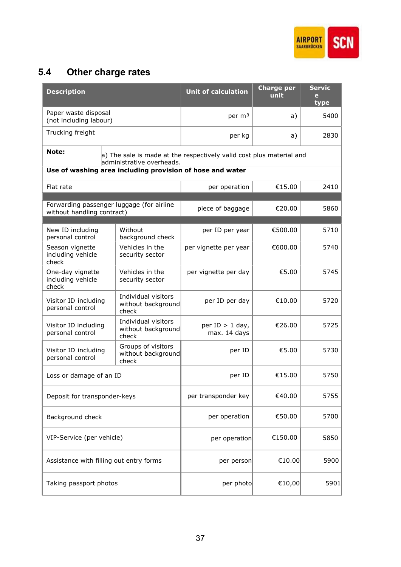

# 5.4 Other charge rates

| <b>Description</b>                                                                                         |                                                    | <b>Unit of calculation</b>        | <b>Charge per</b><br>unit | <b>Servic</b><br>e<br>type |
|------------------------------------------------------------------------------------------------------------|----------------------------------------------------|-----------------------------------|---------------------------|----------------------------|
| Paper waste disposal<br>(not including labour)                                                             |                                                    | per m <sup>3</sup>                | a)                        | 5400                       |
| Trucking freight                                                                                           |                                                    | per kg                            | a)                        | 2830                       |
| Note:<br>a) The sale is made at the respectively valid cost plus material and<br>administrative overheads. |                                                    |                                   |                           |                            |
| Use of washing area including provision of hose and water                                                  |                                                    |                                   |                           |                            |
| Flat rate                                                                                                  |                                                    | per operation                     | €15.00                    | 2410                       |
|                                                                                                            |                                                    |                                   |                           |                            |
| Forwarding passenger luggage (for airline<br>without handling contract)                                    |                                                    | piece of baggage                  | €20.00                    | 5860                       |
| New ID including                                                                                           | Without                                            | per ID per year                   | €500.00                   | 5710                       |
| personal control                                                                                           | background check<br>Vehicles in the                |                                   |                           |                            |
| Season vignette<br>including vehicle<br>check                                                              | security sector                                    | per vignette per year             | €600.00                   | 5740                       |
| One-day vignette<br>including vehicle<br>check                                                             | Vehicles in the<br>security sector                 | per vignette per day              | €5.00                     | 5745                       |
| Visitor ID including<br>personal control                                                                   | Individual visitors<br>without background<br>check | per ID per day                    | €10.00                    | 5720                       |
| Visitor ID including<br>personal control                                                                   | Individual visitors<br>without background<br>check | per $ID > 1$ day,<br>max. 14 days | €26.00                    | 5725                       |
| Visitor ID including<br>personal control                                                                   | Groups of visitors<br>without background<br>check  | per ID                            | €5.00                     | 5730                       |
| Loss or damage of an ID                                                                                    |                                                    | per ID                            | €15.00                    | 5750                       |
| Deposit for transponder-keys                                                                               |                                                    | per transponder key               | €40.00                    | 5755                       |
| Background check                                                                                           |                                                    | per operation                     | €50.00                    | 5700                       |
| VIP-Service (per vehicle)                                                                                  |                                                    | per operation                     | €150.00                   | 5850                       |
| Assistance with filling out entry forms                                                                    |                                                    | per person                        | €10.00                    | 5900                       |
| Taking passport photos                                                                                     |                                                    | per photo                         | €10,00                    | 5901                       |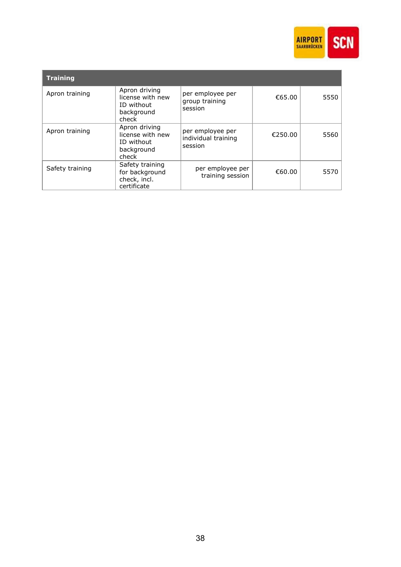

| <b>Training</b> |                                                                        |                                                    |         |      |
|-----------------|------------------------------------------------------------------------|----------------------------------------------------|---------|------|
| Apron training  | Apron driving<br>license with new<br>ID without<br>background<br>check | per employee per<br>group training<br>session      | €65.00  | 5550 |
| Apron training  | Apron driving<br>license with new<br>ID without<br>background<br>check | per employee per<br>individual training<br>session | €250.00 | 5560 |
| Safety training | Safety training<br>for background<br>check, incl.<br>certificate       | per employee per<br>training session               | €60.00  | 5570 |